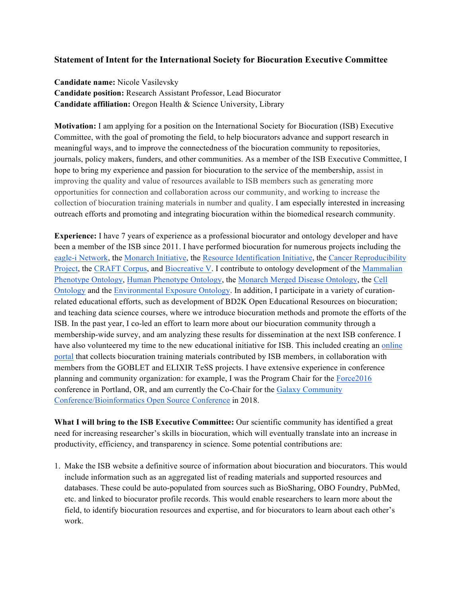## **Statement of Intent for the International Society for Biocuration Executive Committee**

**Candidate name:** Nicole Vasilevsky **Candidate position:** Research Assistant Professor, Lead Biocurator **Candidate affiliation:** Oregon Health & Science University, Library

**Motivation:** I am applying for a position on the International Society for Biocuration (ISB) Executive Committee, with the goal of promoting the field, to help biocurators advance and support research in meaningful ways, and to improve the connectedness of the biocuration community to repositories, journals, policy makers, funders, and other communities. As a member of the ISB Executive Committee, I hope to bring my experience and passion for biocuration to the service of the membership, assist in improving the quality and value of resources available to ISB members such as generating more opportunities for connection and collaboration across our community, and working to increase the collection of biocuration training materials in number and quality. I am especially interested in increasing outreach efforts and promoting and integrating biocuration within the biomedical research community.

**Experience:** I have 7 years of experience as a professional biocurator and ontology developer and have been a member of the ISB since 2011. I have performed biocuration for numerous projects including the eagle-i Network, the Monarch Initiative, the Resource Identification Initiative, the Cancer Reproducibility Project, the CRAFT Corpus, and Biocreative V. I contribute to ontology development of the Mammalian Phenotype Ontology, Human Phenotype Ontology, the Monarch Merged Disease Ontology, the Cell Ontology and the Environmental Exposure Ontology. In addition, I participate in a variety of curationrelated educational efforts, such as development of BD2K Open Educational Resources on biocuration; and teaching data science courses, where we introduce biocuration methods and promote the efforts of the ISB. In the past year, I co-led an effort to learn more about our biocuration community through a membership-wide survey, and am analyzing these results for dissemination at the next ISB conference. I have also volunteered my time to the new educational initiative for ISB. This included creating an online portal that collects biocuration training materials contributed by ISB members, in collaboration with members from the GOBLET and ELIXIR TeSS projects. I have extensive experience in conference planning and community organization: for example, I was the Program Chair for the Force2016 conference in Portland, OR, and am currently the Co-Chair for the Galaxy Community Conference/Bioinformatics Open Source Conference in 2018.

**What I will bring to the ISB Executive Committee:** Our scientific community has identified a great need for increasing researcher's skills in biocuration, which will eventually translate into an increase in productivity, efficiency, and transparency in science. Some potential contributions are:

1. Make the ISB website a definitive source of information about biocuration and biocurators. This would include information such as an aggregated list of reading materials and supported resources and databases. These could be auto-populated from sources such as BioSharing, OBO Foundry, PubMed, etc. and linked to biocurator profile records. This would enable researchers to learn more about the field, to identify biocuration resources and expertise, and for biocurators to learn about each other's work.